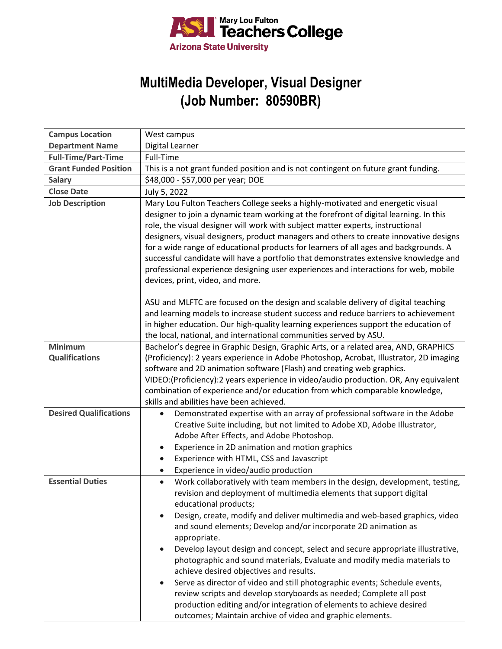

## **MultiMedia Developer, Visual Designer (Job Number: 80590BR)**

| <b>Campus Location</b>        | West campus                                                                                                                                                                                                                                                                                                                                                                                                                                                                                                                                                                                                                                                   |
|-------------------------------|---------------------------------------------------------------------------------------------------------------------------------------------------------------------------------------------------------------------------------------------------------------------------------------------------------------------------------------------------------------------------------------------------------------------------------------------------------------------------------------------------------------------------------------------------------------------------------------------------------------------------------------------------------------|
| <b>Department Name</b>        | Digital Learner                                                                                                                                                                                                                                                                                                                                                                                                                                                                                                                                                                                                                                               |
| <b>Full-Time/Part-Time</b>    | Full-Time                                                                                                                                                                                                                                                                                                                                                                                                                                                                                                                                                                                                                                                     |
| <b>Grant Funded Position</b>  | This is a not grant funded position and is not contingent on future grant funding.                                                                                                                                                                                                                                                                                                                                                                                                                                                                                                                                                                            |
| <b>Salary</b>                 | \$48,000 - \$57,000 per year; DOE                                                                                                                                                                                                                                                                                                                                                                                                                                                                                                                                                                                                                             |
| <b>Close Date</b>             | July 5, 2022                                                                                                                                                                                                                                                                                                                                                                                                                                                                                                                                                                                                                                                  |
| <b>Job Description</b>        | Mary Lou Fulton Teachers College seeks a highly-motivated and energetic visual<br>designer to join a dynamic team working at the forefront of digital learning. In this<br>role, the visual designer will work with subject matter experts, instructional<br>designers, visual designers, product managers and others to create innovative designs<br>for a wide range of educational products for learners of all ages and backgrounds. A<br>successful candidate will have a portfolio that demonstrates extensive knowledge and<br>professional experience designing user experiences and interactions for web, mobile<br>devices, print, video, and more. |
|                               | ASU and MLFTC are focused on the design and scalable delivery of digital teaching<br>and learning models to increase student success and reduce barriers to achievement<br>in higher education. Our high-quality learning experiences support the education of<br>the local, national, and international communities served by ASU.                                                                                                                                                                                                                                                                                                                           |
| <b>Minimum</b>                | Bachelor's degree in Graphic Design, Graphic Arts, or a related area, AND, GRAPHICS                                                                                                                                                                                                                                                                                                                                                                                                                                                                                                                                                                           |
| <b>Qualifications</b>         | (Proficiency): 2 years experience in Adobe Photoshop, Acrobat, Illustrator, 2D imaging<br>software and 2D animation software (Flash) and creating web graphics.<br>VIDEO:(Proficiency):2 years experience in video/audio production. OR, Any equivalent<br>combination of experience and/or education from which comparable knowledge,<br>skills and abilities have been achieved.                                                                                                                                                                                                                                                                            |
| <b>Desired Qualifications</b> | Demonstrated expertise with an array of professional software in the Adobe<br>$\bullet$                                                                                                                                                                                                                                                                                                                                                                                                                                                                                                                                                                       |
|                               | Creative Suite including, but not limited to Adobe XD, Adobe Illustrator,                                                                                                                                                                                                                                                                                                                                                                                                                                                                                                                                                                                     |
|                               | Adobe After Effects, and Adobe Photoshop.                                                                                                                                                                                                                                                                                                                                                                                                                                                                                                                                                                                                                     |
|                               | Experience in 2D animation and motion graphics                                                                                                                                                                                                                                                                                                                                                                                                                                                                                                                                                                                                                |
|                               | Experience with HTML, CSS and Javascript                                                                                                                                                                                                                                                                                                                                                                                                                                                                                                                                                                                                                      |
|                               | Experience in video/audio production<br>٠                                                                                                                                                                                                                                                                                                                                                                                                                                                                                                                                                                                                                     |
| <b>Essential Duties</b>       | Work collaboratively with team members in the design, development, testing,<br>$\bullet$<br>revision and deployment of multimedia elements that support digital<br>educational products;                                                                                                                                                                                                                                                                                                                                                                                                                                                                      |
|                               | Design, create, modify and deliver multimedia and web-based graphics, video<br>and sound elements; Develop and/or incorporate 2D animation as<br>appropriate.                                                                                                                                                                                                                                                                                                                                                                                                                                                                                                 |
|                               | Develop layout design and concept, select and secure appropriate illustrative,<br>photographic and sound materials, Evaluate and modify media materials to<br>achieve desired objectives and results.                                                                                                                                                                                                                                                                                                                                                                                                                                                         |
|                               | Serve as director of video and still photographic events; Schedule events,<br>review scripts and develop storyboards as needed; Complete all post<br>production editing and/or integration of elements to achieve desired<br>outcomes; Maintain archive of video and graphic elements.                                                                                                                                                                                                                                                                                                                                                                        |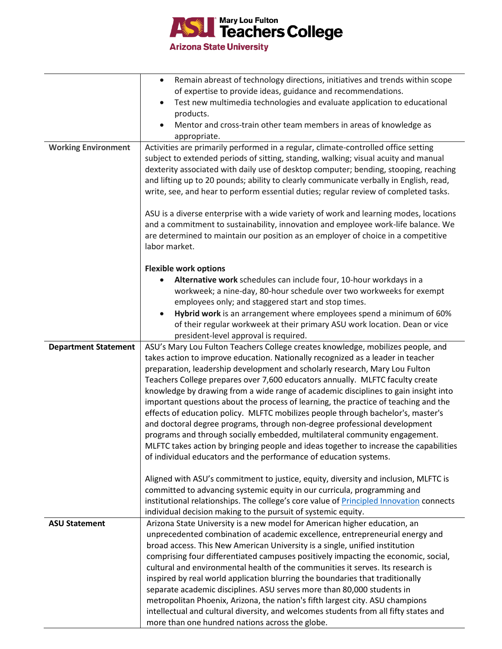

|                             | Remain abreast of technology directions, initiatives and trends within scope<br>$\bullet$      |
|-----------------------------|------------------------------------------------------------------------------------------------|
|                             | of expertise to provide ideas, guidance and recommendations.                                   |
|                             | Test new multimedia technologies and evaluate application to educational                       |
|                             | products.                                                                                      |
|                             | Mentor and cross-train other team members in areas of knowledge as                             |
|                             | appropriate.                                                                                   |
| <b>Working Environment</b>  | Activities are primarily performed in a regular, climate-controlled office setting             |
|                             | subject to extended periods of sitting, standing, walking; visual acuity and manual            |
|                             | dexterity associated with daily use of desktop computer; bending, stooping, reaching           |
|                             | and lifting up to 20 pounds; ability to clearly communicate verbally in English, read,         |
|                             | write, see, and hear to perform essential duties; regular review of completed tasks.           |
|                             |                                                                                                |
|                             | ASU is a diverse enterprise with a wide variety of work and learning modes, locations          |
|                             | and a commitment to sustainability, innovation and employee work-life balance. We              |
|                             | are determined to maintain our position as an employer of choice in a competitive              |
|                             | labor market.                                                                                  |
|                             |                                                                                                |
|                             | <b>Flexible work options</b>                                                                   |
|                             | Alternative work schedules can include four, 10-hour workdays in a                             |
|                             | workweek; a nine-day, 80-hour schedule over two workweeks for exempt                           |
|                             | employees only; and staggered start and stop times.                                            |
|                             | Hybrid work is an arrangement where employees spend a minimum of 60%                           |
|                             | of their regular workweek at their primary ASU work location. Dean or vice                     |
|                             | president-level approval is required.                                                          |
| <b>Department Statement</b> | ASU's Mary Lou Fulton Teachers College creates knowledge, mobilizes people, and                |
|                             | takes action to improve education. Nationally recognized as a leader in teacher                |
|                             | preparation, leadership development and scholarly research, Mary Lou Fulton                    |
|                             | Teachers College prepares over 7,600 educators annually. MLFTC faculty create                  |
|                             | knowledge by drawing from a wide range of academic disciplines to gain insight into            |
|                             | important questions about the process of learning, the practice of teaching and the            |
|                             | effects of education policy. MLFTC mobilizes people through bachelor's, master's               |
|                             | and doctoral degree programs, through non-degree professional development                      |
|                             | programs and through socially embedded, multilateral community engagement.                     |
|                             | MLFTC takes action by bringing people and ideas together to increase the capabilities          |
|                             | of individual educators and the performance of education systems.                              |
|                             | Aligned with ASU's commitment to justice, equity, diversity and inclusion, MLFTC is            |
|                             | committed to advancing systemic equity in our curricula, programming and                       |
|                             | institutional relationships. The college's core value of <b>Principled Innovation</b> connects |
|                             | individual decision making to the pursuit of systemic equity.                                  |
| <b>ASU Statement</b>        | Arizona State University is a new model for American higher education, an                      |
|                             | unprecedented combination of academic excellence, entrepreneurial energy and                   |
|                             | broad access. This New American University is a single, unified institution                    |
|                             | comprising four differentiated campuses positively impacting the economic, social,             |
|                             | cultural and environmental health of the communities it serves. Its research is                |
|                             | inspired by real world application blurring the boundaries that traditionally                  |
|                             | separate academic disciplines. ASU serves more than 80,000 students in                         |
|                             | metropolitan Phoenix, Arizona, the nation's fifth largest city. ASU champions                  |
|                             | intellectual and cultural diversity, and welcomes students from all fifty states and           |
|                             | more than one hundred nations across the globe.                                                |